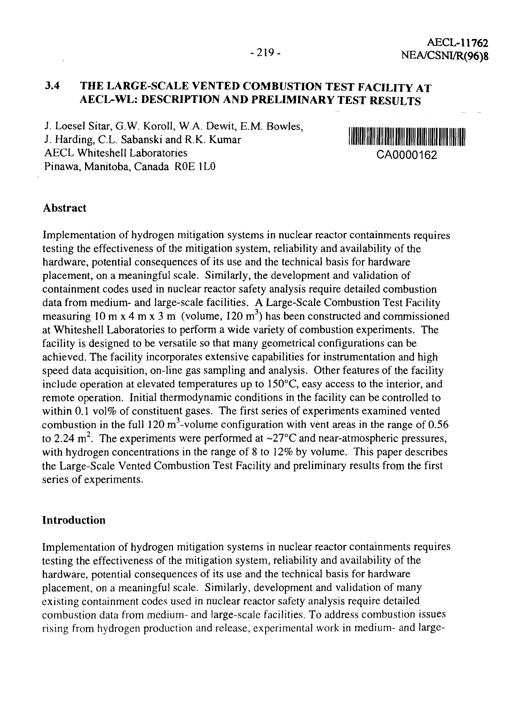## **3.4 THE LARGE-SCALE VENTED COMBUSTION TEST FACILITY AT AECL-WL: DESCRIPTION AND PRELIMINARY TEST RESULTS**

J. Loesel Sitar, G.W. Koroll, W.A. Dewit, E.M. Bowles, J. Harding, C.L. Sabanski and R.K. Kumar AECL Whiteshell Laboratories CA0000162 Pinawa, Manitoba, Canada ROE 1LO



### Abstract

Implementation of hydrogen mitigation systems in nuclear reactor containments requires testing the effectiveness of the mitigation system, reliability and availability of the hardware, potential consequences of its use and the technical basis for hardware placement, on a meaningful scale. Similarly, the development and validation of containment codes used in nuclear reactor safety analysis require detailed combustion data from medium- and large-scale facilities. A Large-Scale Combustion Test Facility measuring 10 m x 4 m x 3 m (volume, 120 m<sup>3</sup>) has been constructed and commissioned at Whiteshell Laboratories to perform a wide variety of combustion experiments. The facility is designed to be versatile so that many geometrical configurations can be achieved. The facility incorporates extensive capabilities for instrumentation and high speed data acquisition, on-line gas sampling and analysis. Other features of the facility include operation at elevated temperatures up to  $150^{\circ}$ C, easy access to the interior, and remote operation. Initial thermodynamic conditions in the facility can be controlled to within 0.1 vol% of constituent gases. The first series of experiments examined vented combustion in the full 120 m<sup>3</sup>-volume configuration with vent areas in the range of 0.56 to 2.24 m<sup>2</sup>. The experiments were performed at  $\sim$ 27°C and near-atmospheric pressures, with hydrogen concentrations in the range of 8 to 12% by volume. This paper describes the Large-Scale Vented Combustion Test Facility and preliminary results from the first series of experiments.

#### **Introduction**

Implementation of hydrogen mitigation systems in nuclear reactor containments requires testing the effectiveness of the mitigation system, reliability and availability of the hardware, potential consequences of its use and the technical basis for hardware placement, on a meaningful scale. Similarly, development and validation of many existing containment codes used in nuclear reactor safety analysis require detailed combustion data from medium- and large-scale facilities. To address combustion issues rising from hydrogen production and release, experimental work in medium- and large-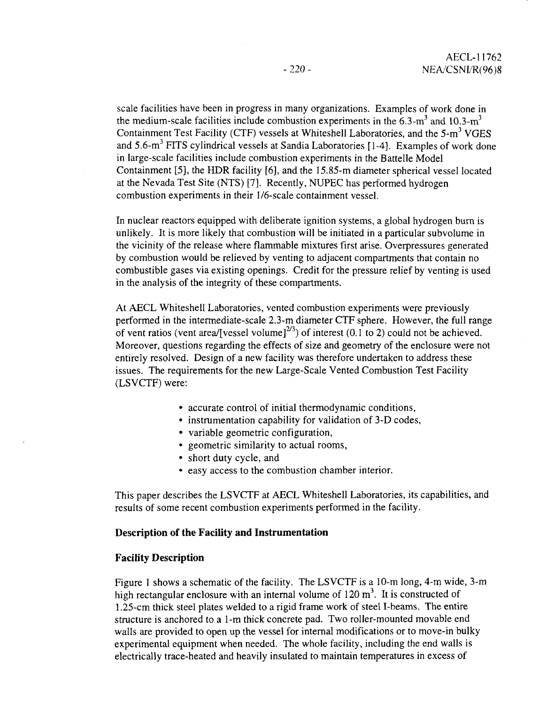scale facilities have been in progress in many organizations. Examples of work done in the medium-scale facilities include combustion experiments in the 6.3-m<sup>3</sup> and 10.3-m<sup>3</sup> Containment Test Facility (CTF) vessels at Whiteshell Laboratories, and the  $5-m<sup>3</sup>$  VGES and 5.6-m<sup>3</sup> FITS cylindrical vessels at Sandia Laboratories [1-4]. Examples of work done in large-scale facilities include combustion experiments in the Battelle Model Containment [5], the HDR facility [6], and the 15.85-m diameter spherical vessel located at the Nevada Test Site (NTS) [7]. Recently, NUPEC has performed hydrogen combustion experiments in their 1/6-scale containment vessel.

In nuclear reactors equipped with deliberate ignition systems, a global hydrogen burn is unlikely. It is more likely that combustion will be initiated in a particular subvolume in the vicinity of the release where flammable mixtures first arise. Overpressures generated by combustion would be relieved by venting to adjacent compartments that contain no combustible gases via existing openings. Credit for the pressure relief by venting is used in the analysis of the integrity of these compartments.

At AECL Whiteshell Laboratories, vented combustion experiments were previously performed in the intermediate-scale 2.3-m diameter CTF sphere. However, the full range of vent ratios (vent area/[vessel volume]<sup>2/3</sup>) of interest (0.1 to 2) could not be achieved. Moreover, questions regarding the effects of size and geometry of the enclosure were not entirely resolved. Design of a new facility was therefore undertaken to address these issues. The requirements for the new Large-Scale Vented Combustion Test Facility (LSVCTF) were:

- accurate control of initial thermodynamic conditions,
- instrumentation capability for validation of 3-D codes,
- variable geometric configuration,
- geometric similarity to actual rooms,
- short duty cycle, and
- easy access to the combustion chamber interior.

This paper describes the LSVCTF at AECL Whiteshell Laboratories, its capabilities, and results of some recent combustion experiments performed in the facility.

#### **Description of the Facility and Instrumentation**

#### **Facility Description**

Figure 1 shows a schematic of the facility. The LSVCTF is a 10-m long, 4-m wide, 3-m high rectangular enclosure with an internal volume of  $120 \text{ m}^3$ . It is constructed of 1.25-cm thick steel plates welded to a rigid frame work of steel I-beams. The entire structure is anchored to a 1 -m thick concrete pad. Two roller-mounted movable end walls are provided to open up the vessel for internal modifications or to move-in bulky experimental equipment when needed. The whole facility, including the end walls is electrically trace-heated and heavily insulated to maintain temperatures in excess of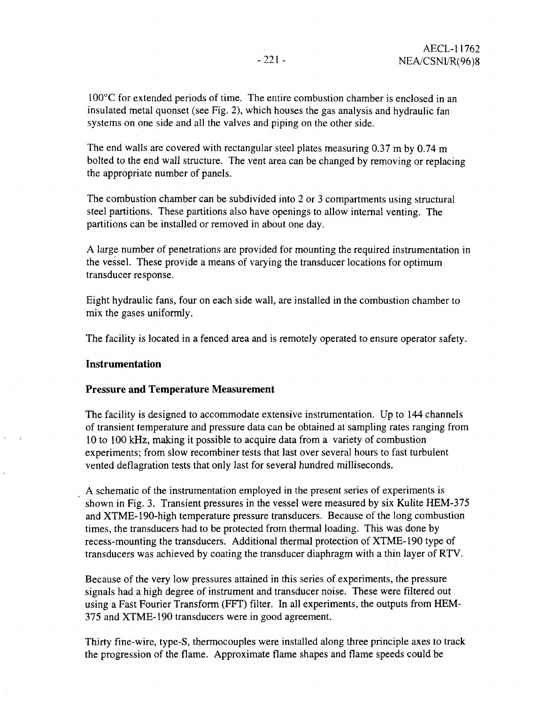100°C for extended periods of time. The entire combustion chamber is enclosed in an insulated metal quonset (see Fig. 2), which houses the gas analysis and hydraulic fan systems on one side and all the valves and piping on the other side.

The end walls are covered with rectangular steel plates measuring 0.37 m by 0.74 m bolted to the end wall structure. The vent area can be changed by removing or replacing the appropriate number of panels.

The combustion chamber can be subdivided into 2 or 3 compartments using structural steel partitions. These partitions also have openings to allow internal venting. The partitions can be installed or removed in about one day.

A large number of penetrations are provided for mounting the required instrumentation in the vessel. These provide a means of varying the transducer locations for optimum transducer response.

Eight hydraulic fans, four on each side wall, are installed in the combustion chamber to mix the gases uniformly.

The facility is located in a fenced area and is remotely operated to ensure operator safety.

#### **Instrumentation**

#### **Pressure and Temperature Measurement**

The facility is designed to accommodate extensive instrumentation. Up to 144 channels of transient temperature and pressure data can be obtained at sampling rates ranging from 10 to 100 kHz, making it possible to acquire data from a variety of combustion experiments; from slow recombiner tests that last over several hours to fast turbulent vented deflagration tests that only last for several hundred milliseconds.

A schematic of the instrumentation employed in the present series of experiments is shown in Fig. 3. Transient pressures in the vessel were measured by six Kulite HEM-375 and XTME-190-high temperature pressure transducers. Because of the long combustion times, the transducers had to be protected from thermal loading. This was done by recess-mounting the transducers. Additional thermal protection of XTME-190 type of transducers was achieved by coating the transducer diaphragm with a thin layer of RTV.

Because of the very low pressures attained in this series of experiments, the pressure signals had a high degree of instrument and transducer noise. These were filtered out using a Fast Fourier Transform (FFT) filter. In all experiments, the outputs from HEM-375 and XTME-190 transducers were in good agreement.

Thirty fine-wire, type-S, thermocouples were installed along three principle axes to track the progression of the flame. Approximate flame shapes and flame speeds could be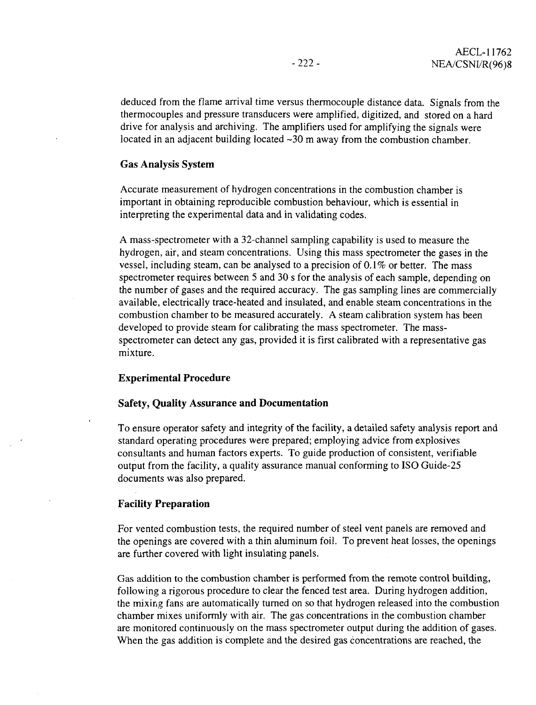deduced from the flame arrival time versus thermocouple distance data. Signals from the thermocouples and pressure transducers were amplified, digitized, and stored on a hard drive for analysis and archiving. The amplifiers used for amplifying the signals were located in an adjacent building located  $\sim$ 30 m away from the combustion chamber.

#### **Gas Analysis System**

Accurate measurement of hydrogen concentrations in the combustion chamber is important in obtaining reproducible combustion behaviour, which is essential in interpreting the experimental data and in validating codes.

A mass-spectrometer with a 32-channel sampling capability is used to measure the hydrogen, air, and steam concentrations. Using this mass spectrometer the gases in the vessel, including steam, can be analysed to a precision of 0.1% or better. The mass spectrometer requires between 5 and 30 s for the analysis of each sample, depending on the number of gases and the required accuracy. The gas sampling lines are commercially available, electrically trace-heated and insulated, and enable steam concentrations in the combustion chamber to be measured accurately. A steam calibration system has been developed to provide steam for calibrating the mass spectrometer. The massspectrometer can detect any gas, provided it is first calibrated with a representative gas mixture.

### **Experimental Procedure**

### **Safety, Quality Assurance and Documentation**

To ensure operator safety and integrity of the facility, a detailed safety analysis report and standard operating procedures were prepared; employing advice from explosives consultants and human factors experts. To guide production of consistent, verifiable output from the facility, a quality assurance manual conforming to ISO Guide-25 documents was also prepared.

### **Facility Preparation**

For vented combustion tests, the required number of steel vent panels are removed and the openings are covered with a thin aluminum foil. To prevent heat losses, the openings are further covered with light insulating panels.

Gas addition to the combustion chamber is performed from the remote control building, following a rigorous procedure to clear the fenced test area. During hydrogen addition, the mixing fans are automatically turned on so that hydrogen released into the combustion chamber mixes uniformly with air. The gas concentrations in the combustion chamber are monitored continuously on the mass spectrometer output during the addition of gases. When the gas addition is complete and the desired gas concentrations are reached, the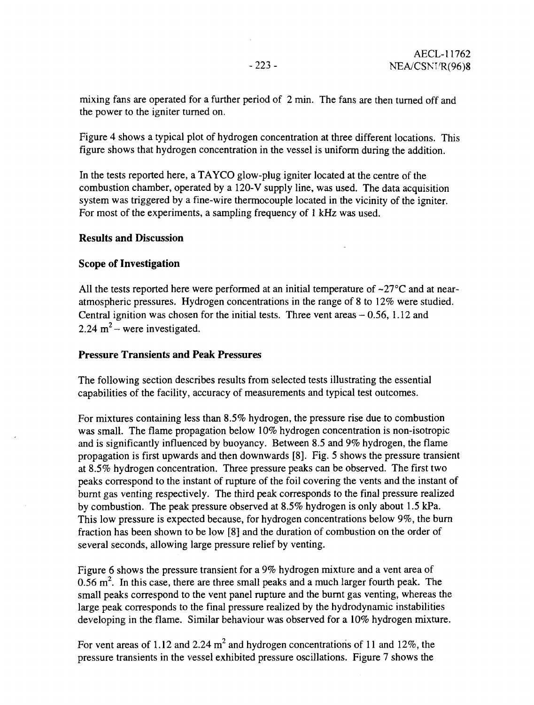mixing fans are operated for a further period of 2 min. The fans are then turned off and the power to the igniter turned on.

Figure 4 shows a typical plot of hydrogen concentration at three different locations. This figure shows that hydrogen concentration in the vessel is uniform during the addition.

In the tests reported here, a TAYCO glow-plug igniter located at the centre of the combustion chamber, operated by a 120-V supply line, was used. The data acquisition system was triggered by a fine-wire thermocouple located in the vicinity of the igniter. For most of the experiments, a sampling frequency of 1 kHz was used.

# **Results and Discussion**

# **Scope of Investigation**

All the tests reported here were performed at an initial temperature of  $\sim$ 27 $\degree$ C and at nearatmospheric pressures. Hydrogen concentrations in the range of 8 to 12% were studied. Central ignition was chosen for the initial tests. Three vent areas  $-0.56$ , 1.12 and 2.24  $m^2$  – were investigated.

## **Pressure Transients and Peak Pressures**

The following section describes results from selected tests illustrating the essential capabilities of the facility, accuracy of measurements and typical test outcomes.

For mixtures containing less than 8.5% hydrogen, the pressure rise due to combustion was small. The flame propagation below 10% hydrogen concentration is non-isotropic and is significantly influenced by buoyancy. Between 8.5 and 9% hydrogen, the flame propagation is first upwards and then downwards [8]. Fig. 5 shows the pressure transient at 8.5% hydrogen concentration. Three pressure peaks can be observed. The first two peaks correspond to the instant of rapture of the foil covering the vents and the instant of burnt gas venting respectively. The third peak corresponds to the final pressure realized by combustion. The peak pressure observed at 8.5% hydrogen is only about 1.5 kPa. This low pressure is expected because, for hydrogen concentrations below 9%, the burn fraction has been shown to be low [8] and the duration of combustion on the order of several seconds, allowing large pressure relief by venting.

Figure 6 shows the pressure transient for a 9% hydrogen mixture and a vent area of 0.56  $m^2$ . In this case, there are three small peaks and a much larger fourth peak. The small peaks correspond to the vent panel rupture and the burnt gas venting, whereas the large peak corresponds to the final pressure realized by the hydrodynamic instabilities developing in the flame. Similar behaviour was observed for a 10% hydrogen mixture.

For vent areas of 1.12 and 2.24  $m^2$  and hydrogen concentrations of 11 and 12%, the pressure transients in the vessel exhibited pressure oscillations. Figure 7 shows the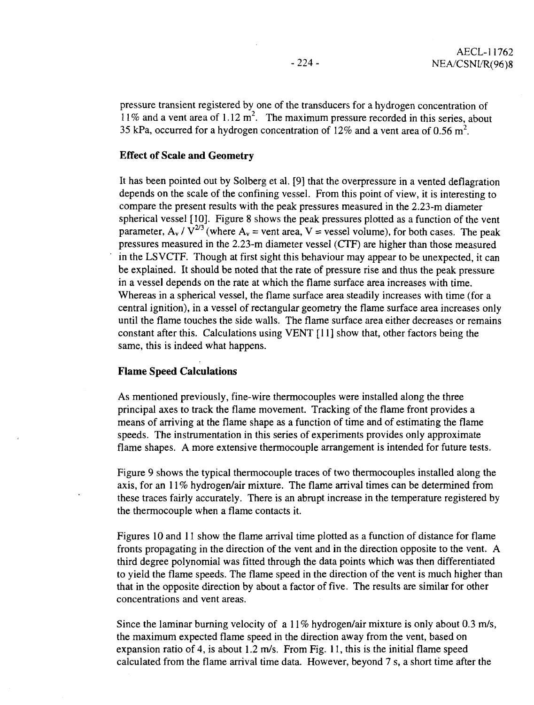pressure transient registered by one of the transducers for a hydrogen concentration of 11% and a vent area of 1.12 m<sup>2</sup>. The maximum pressure recorded in this series, about 35 kPa, occurred for a hydrogen concentration of 12% and a vent area of 0.56 m<sup>2</sup>.

#### **Effect of Scale and Geometry**

It has been pointed out by Solberg et al. [9] that the overpressure in a vented deflagration depends on the scale of the confining vessel. From this point of view, it is interesting to compare the present results with the peak pressures measured in the 2.23-m diameter spherical vessel [10]. Figure 8 shows the peak pressures plotted as a function of the vent parameter,  $A_v / V^{2/3}$  (where  $A_v$  = vent area, V = vessel volume), for both cases. The peak pressures measured in the 2.23-m diameter vessel (CTF) are higher than those measured in the LS VCTF. Though at first sight this behaviour may appear to be unexpected, it can be explained. It should be noted that the rate of pressure rise and thus the peak pressure in a vessel depends on the rate at which the flame surface area increases with time. Whereas in a spherical vessel, the flame surface area steadily increases with time (for a central ignition), in a vessel of rectangular geometry the flame surface area increases only until the flame touches the side walls. The flame surface area either decreases or remains constant after this. Calculations using VENT [11] show that, other factors being the same, this is indeed what happens.

### **Flame Speed Calculations**

As mentioned previously, fine-wire thermocouples were installed along the three principal axes to track the flame movement. Tracking of the flame front provides a means of arriving at the flame shape as a function of time and of estimating the flame speeds. The instrumentation in this series of experiments provides only approximate flame shapes. A more extensive thermocouple arrangement is intended for future tests.

Figure 9 shows the typical thermocouple traces of two thermocouples installed along the axis, for an 11% hydrogen/air mixture. The flame arrival times can be determined from these traces fairly accurately. There is an abrupt increase in the temperature registered by the thermocouple when a flame contacts it.

Figures 10 and 11 show the flame arrival time plotted as a function of distance for flame fronts propagating in the direction of the vent and in the direction opposite to the vent. A third degree polynomial was fitted through the data points which was then differentiated to yield the flame speeds. The flame speed in the direction of the vent is much higher than that in the opposite direction by about a factor of five. The results are similar for other concentrations and vent areas.

Since the laminar burning velocity of a 11% hydrogen/air mixture is only about 0.3 m/s, the maximum expected flame speed in the direction away from the vent, based on expansion ratio of 4, is about 1.2 m/s. From Fig. 11, this is the initial flame speed calculated from the flame arrival time data. However, beyond 7 s, a short time after the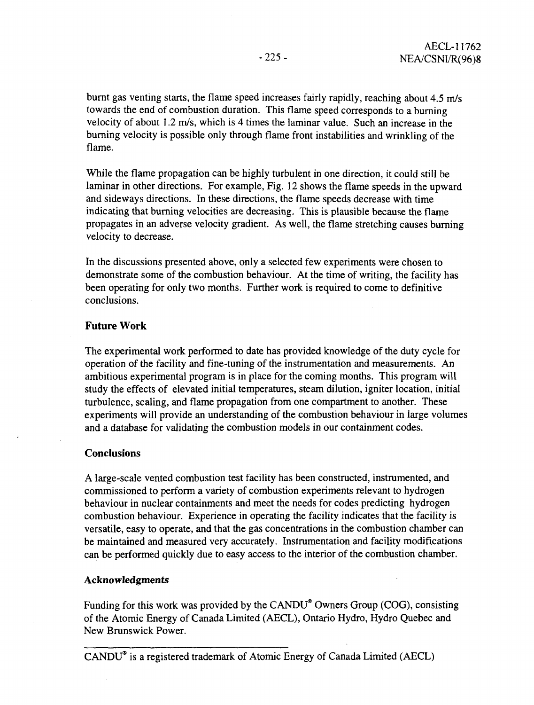burnt gas venting starts, the flame speed increases fairly rapidly, reaching about 4,5 m/s towards the end of combustion duration. This flame speed corresponds to a burning velocity of about 1.2 m/s, which is 4 times the laminar value. Such an increase in the burning velocity is possible only through flame front instabilities and wrinkling of the flame.

While the flame propagation can be highly turbulent in one direction, it could still be laminar in other directions. For example, Fig. 12 shows the flame speeds in the upward and sideways directions. In these directions, the flame speeds decrease with time indicating that burning velocities are decreasing. This is plausible because the flame propagates in an adverse velocity gradient. As well, the flame stretching causes burning velocity to decrease.

In the discussions presented above, only a selected few experiments were chosen to demonstrate some of the combustion behaviour. At the time of writing, the facility has been operating for only two months. Further work is required to come to definitive conclusions.

## **Future Work**

The experimental work performed to date has provided knowledge of the duty cycle for operation of the facility and fine-tuning of the instrumentation and measurements. An ambitious experimental program is in place for the coming months. This program will study the effects of elevated initial temperatures, steam dilution, igniter location, initial turbulence, scaling, and flame propagation from one compartment to another. These experiments will provide an understanding of the combustion behaviour in large volumes and a database for validating the combustion models in our containment codes.

## **Conclusions**

A large-scale vented combustion test facility has been constructed, instrumented, and commissioned to perform a variety of combustion experiments relevant to hydrogen behaviour in nuclear containments and meet the needs for codes predicting hydrogen combustion behaviour. Experience in operating the facility indicates that the facility is versatile, easy to operate, and that the gas concentrations in the combustion chamber can be maintained and measured very accurately. Instrumentation and facility modifications can be performed quickly due to easy access to the interior of the combustion chamber.

### **Acknowledgments**

Funding for this work was provided by the CANDU\* Owners Group (COG), consisting of the Atomic Energy of Canada Limited (AECL), Ontario Hydro, Hydro Quebec and New Brunswick Power.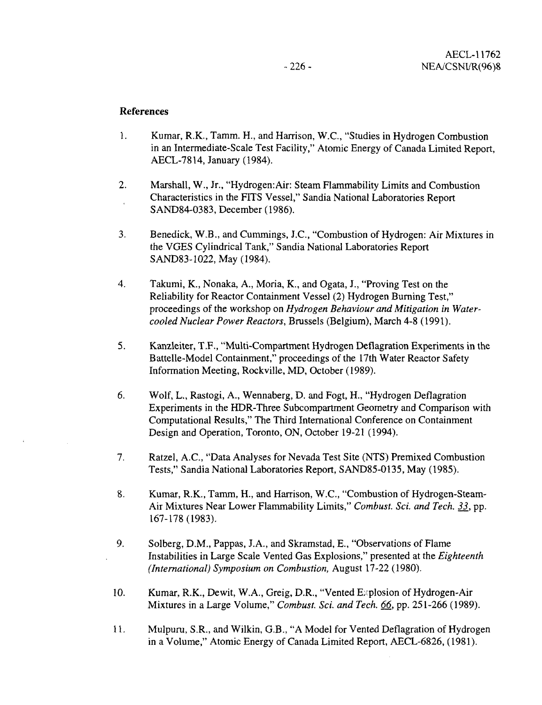### References

- 1. Kumar, R.K., Tamm. H., and Harrison, W.C., "Studies in Hydrogen Combustion in an Intermediate-Scale Test Facility," Atomic Energy of Canada Limited Report, AECL-7814, January (1984).
- 2. Marshall, W., Jr., "Hydrogen: Air: Steam Flammability Limits and Combustion Characteristics in the FITS Vessel," Sandia National Laboratories Report SAND84-0383, December (1986).
- 3. Benedick, W.B., and Cummings, J.C., "Combustion of Hydrogen: Air Mixtures in the VGES Cylindrical Tank," Sandia National Laboratories Report SAND83-1022, May (1984).
- 4. Takumi, K., Nonaka, A., Moria, K., and Ogata, J., "Proving Test on the Reliability for Reactor Containment Vessel (2) Hydrogen Burning Test," proceedings of the workshop on *Hydrogen Behaviour and Mitigation in Watercooled Nuclear Power Reactors,* Brussels (Belgium), March 4-8 (1991).
- 5. Kanzleiter, T.F., "Multi-Compartment Hydrogen Deflagration Experiments in the Battelle-Model Containment," proceedings of the 17th Water Reactor Safety Information Meeting, Rockville, MD, October (1989).
- 6. Wolf, L., Rastogi, A., Wennaberg, D. and Fogt, H., "Hydrogen Deflagration Experiments in the HDR-Three Subcompartment Geometry and Comparison with Computational Results," The Third International Conference on Containment Design and Operation, Toronto, ON, October 19-21 (1994).
- 7. Ratzel, A.C., "Data Analyses for Nevada Test Site (NTS) Premixed Combustion Tests," Sandia National Laboratories Report, SAND85-O135, May (1985).
- 8. Kumar, R.K., Tamm, H., and Harrison, W.C., "Combustion of Hydrogen-Steam-Air Mixtures Near Lower Flammability Limits," *Combust. Set and Tech. 33\_,* pp. 167-178(1983).
- 9. Solberg, D.M., Pappas, J.A., and Skramstad, E., "Observations of Flame Instabilities in Large Scale Vented Gas Explosions," presented at the *Eighteenth (International) Symposium on Combustion,* August 17-22 (1980).
- 10. Kumar, R.K., Dewit, W.A., Greig, D.R., "Vented Explosion of Hydrogen-Air Mixtures in a Large Volume," *Combust. Sci. and Tech. 66,* pp. 251-266 (1989).
- 11. Mulpuru, S.R., and Wilkin, G.B., "A Model for Vented Deflagration of Hydrogen in a Volume," Atomic Energy of Canada Limited Report, AECL-6826, (1981).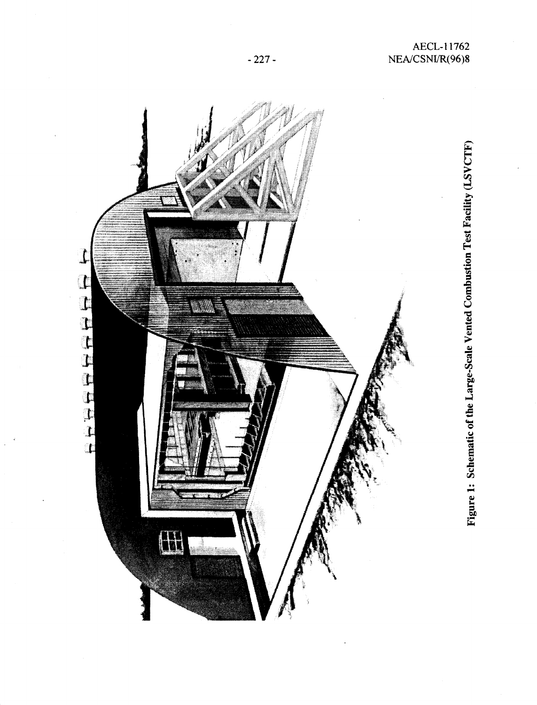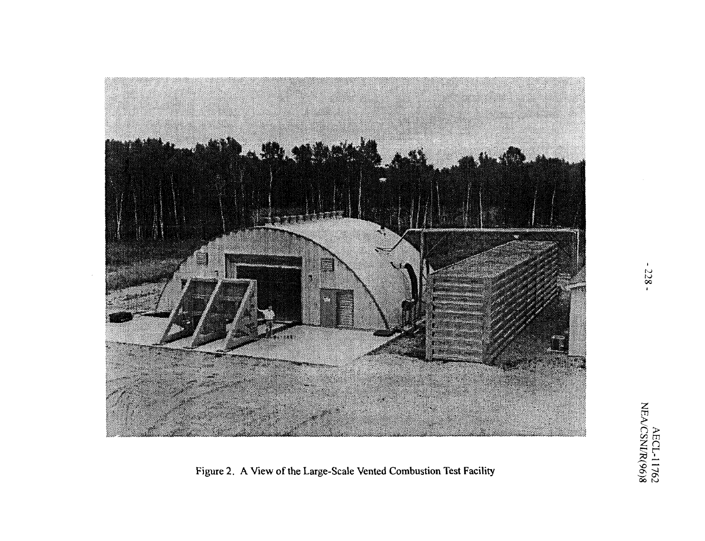

Figure 2. A View of the Large-Scale Vented Combustion Test Facility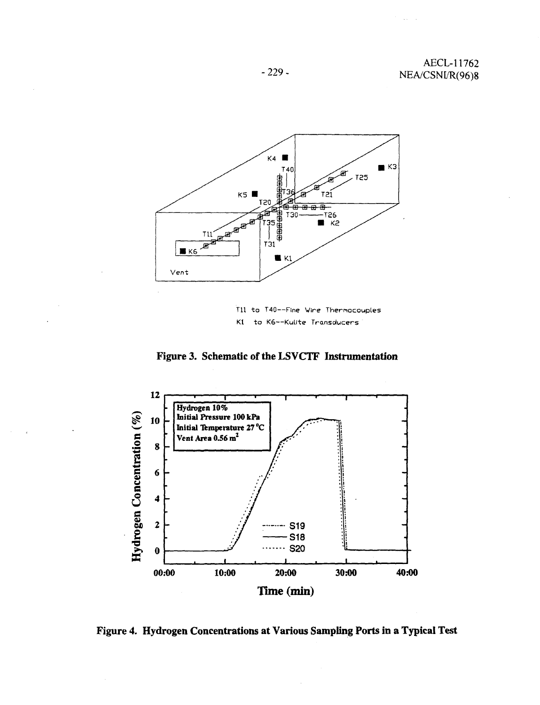

Til to T40—Fine Wire Thermocouples K1 to K6 -- Kulite Transducers

**Figure 3. Schematic of the LSVCTF Instrumentation**



**Figure 4. Hydrogen Concentrations at Various Sampling Ports in a Typical Test**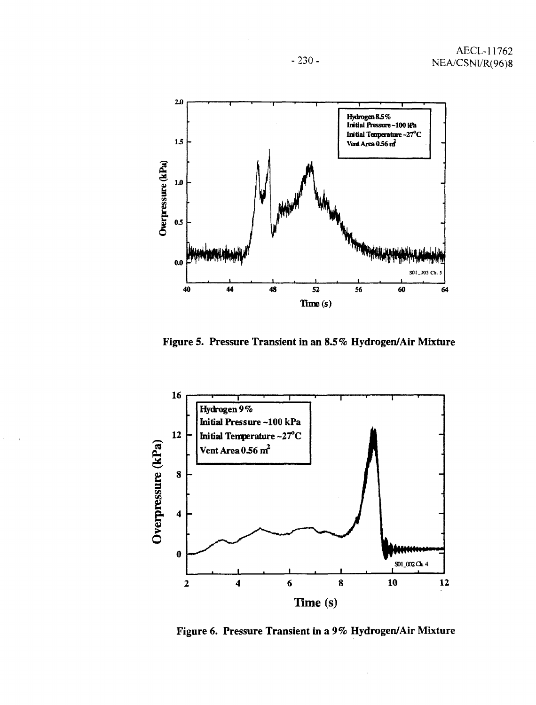





Figure 6. Pressure Transient in a *9%* Hydrogen/Air Mixture

-230-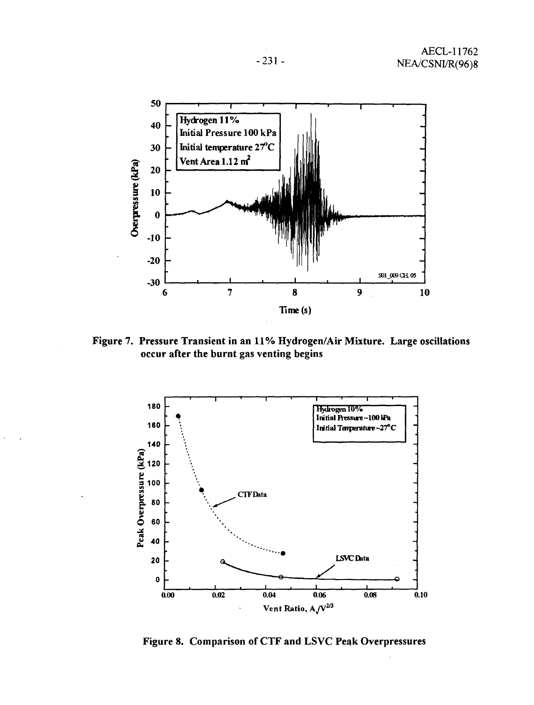

Figure 7. Pressure Transient in an 11% Hydrogen/Air Mixture. Large oscillations occur after the burnt gas venting begins



Figure 8. Comparison of CTF and LSVC Peak Overpressures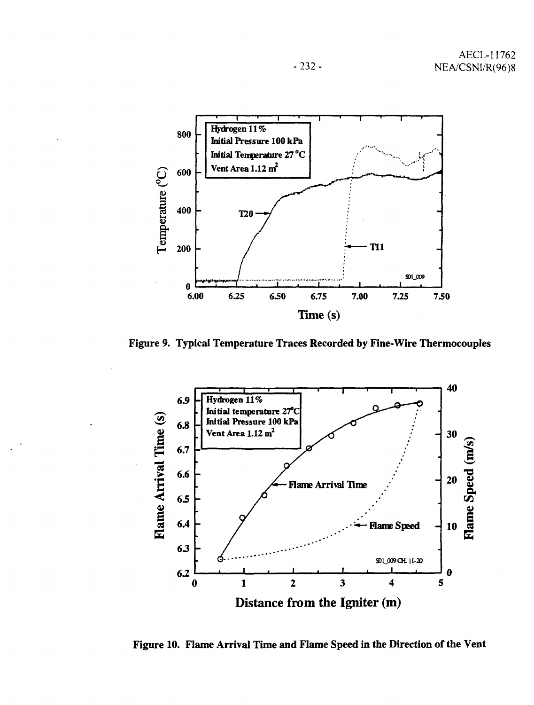

Figure 9. Typical Temperature Traces Recorded by Fine-Wire Thermocouples



Figure 10. Flame Arrival Time and Flame Speed in the Direction of the Vent

-232-